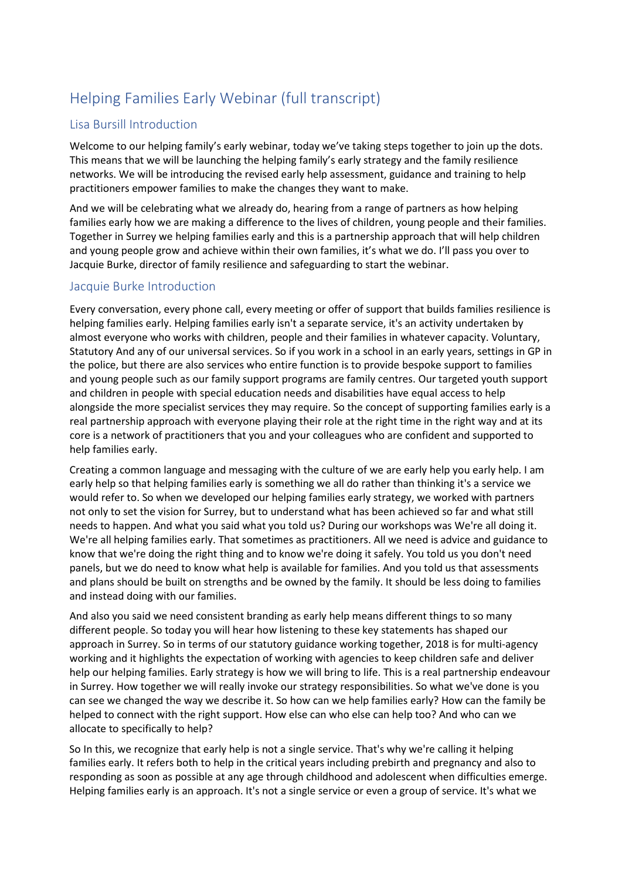# Helping Families Early Webinar (full transcript)

# Lisa Bursill Introduction

Welcome to our helping family's early webinar, today we've taking steps together to join up the dots. This means that we will be launching the helping family's early strategy and the family resilience networks. We will be introducing the revised early help assessment, guidance and training to help practitioners empower families to make the changes they want to make.

And we will be celebrating what we already do, hearing from a range of partners as how helping families early how we are making a difference to the lives of children, young people and their families. Together in Surrey we helping families early and this is a partnership approach that will help children and young people grow and achieve within their own families, it's what we do. I'll pass you over to Jacquie Burke, director of family resilience and safeguarding to start the webinar.

## Jacquie Burke Introduction

Every conversation, every phone call, every meeting or offer of support that builds families resilience is helping families early. Helping families early isn't a separate service, it's an activity undertaken by almost everyone who works with children, people and their families in whatever capacity. Voluntary, Statutory And any of our universal services. So if you work in a school in an early years, settings in GP in the police, but there are also services who entire function is to provide bespoke support to families and young people such as our family support programs are family centres. Our targeted youth support and children in people with special education needs and disabilities have equal access to help alongside the more specialist services they may require. So the concept of supporting families early is a real partnership approach with everyone playing their role at the right time in the right way and at its core is a network of practitioners that you and your colleagues who are confident and supported to help families early.

Creating a common language and messaging with the culture of we are early help you early help. I am early help so that helping families early is something we all do rather than thinking it's a service we would refer to. So when we developed our helping families early strategy, we worked with partners not only to set the vision for Surrey, but to understand what has been achieved so far and what still needs to happen. And what you said what you told us? During our workshops was We're all doing it. We're all helping families early. That sometimes as practitioners. All we need is advice and guidance to know that we're doing the right thing and to know we're doing it safely. You told us you don't need panels, but we do need to know what help is available for families. And you told us that assessments and plans should be built on strengths and be owned by the family. It should be less doing to families and instead doing with our families.

And also you said we need consistent branding as early help means different things to so many different people. So today you will hear how listening to these key statements has shaped our approach in Surrey. So in terms of our statutory guidance working together, 2018 is for multi-agency working and it highlights the expectation of working with agencies to keep children safe and deliver help our helping families. Early strategy is how we will bring to life. This is a real partnership endeavour in Surrey. How together we will really invoke our strategy responsibilities. So what we've done is you can see we changed the way we describe it. So how can we help families early? How can the family be helped to connect with the right support. How else can who else can help too? And who can we allocate to specifically to help?

So In this, we recognize that early help is not a single service. That's why we're calling it helping families early. It refers both to help in the critical years including prebirth and pregnancy and also to responding as soon as possible at any age through childhood and adolescent when difficulties emerge. Helping families early is an approach. It's not a single service or even a group of service. It's what we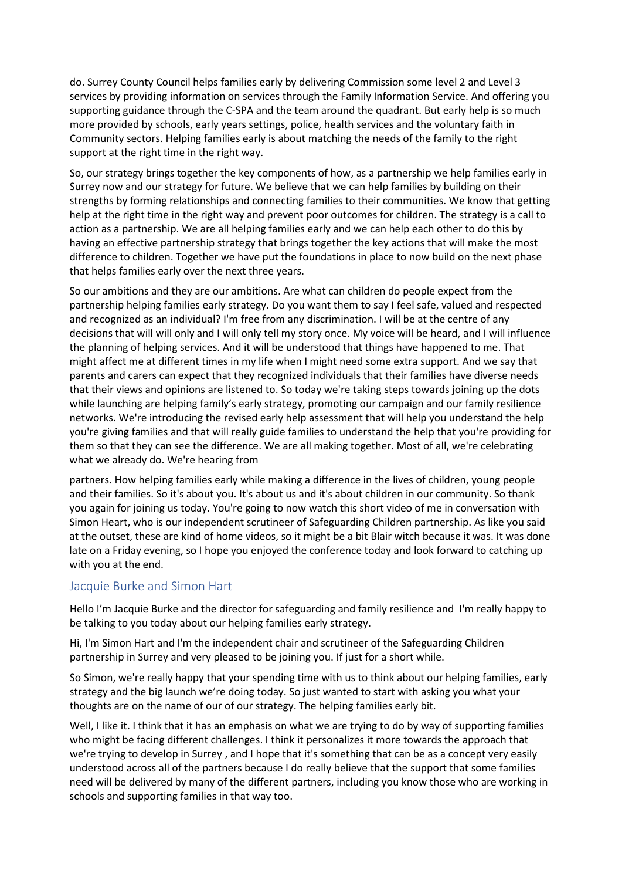do. Surrey County Council helps families early by delivering Commission some level 2 and Level 3 services by providing information on services through the Family Information Service. And offering you supporting guidance through the C-SPA and the team around the quadrant. But early help is so much more provided by schools, early years settings, police, health services and the voluntary faith in Community sectors. Helping families early is about matching the needs of the family to the right support at the right time in the right way.

So, our strategy brings together the key components of how, as a partnership we help families early in Surrey now and our strategy for future. We believe that we can help families by building on their strengths by forming relationships and connecting families to their communities. We know that getting help at the right time in the right way and prevent poor outcomes for children. The strategy is a call to action as a partnership. We are all helping families early and we can help each other to do this by having an effective partnership strategy that brings together the key actions that will make the most difference to children. Together we have put the foundations in place to now build on the next phase that helps families early over the next three years.

So our ambitions and they are our ambitions. Are what can children do people expect from the partnership helping families early strategy. Do you want them to say I feel safe, valued and respected and recognized as an individual? I'm free from any discrimination. I will be at the centre of any decisions that will will only and I will only tell my story once. My voice will be heard, and I will influence the planning of helping services. And it will be understood that things have happened to me. That might affect me at different times in my life when I might need some extra support. And we say that parents and carers can expect that they recognized individuals that their families have diverse needs that their views and opinions are listened to. So today we're taking steps towards joining up the dots while launching are helping family's early strategy, promoting our campaign and our family resilience networks. We're introducing the revised early help assessment that will help you understand the help you're giving families and that will really guide families to understand the help that you're providing for them so that they can see the difference. We are all making together. Most of all, we're celebrating what we already do. We're hearing from

partners. How helping families early while making a difference in the lives of children, young people and their families. So it's about you. It's about us and it's about children in our community. So thank you again for joining us today. You're going to now watch this short video of me in conversation with Simon Heart, who is our independent scrutineer of Safeguarding Children partnership. As like you said at the outset, these are kind of home videos, so it might be a bit Blair witch because it was. It was done late on a Friday evening, so I hope you enjoyed the conference today and look forward to catching up with you at the end.

## Jacquie Burke and Simon Hart

Hello I'm Jacquie Burke and the director for safeguarding and family resilience and I'm really happy to be talking to you today about our helping families early strategy.

Hi, I'm Simon Hart and I'm the independent chair and scrutineer of the Safeguarding Children partnership in Surrey and very pleased to be joining you. If just for a short while.

So Simon, we're really happy that your spending time with us to think about our helping families, early strategy and the big launch we're doing today. So just wanted to start with asking you what your thoughts are on the name of our of our strategy. The helping families early bit.

Well, I like it. I think that it has an emphasis on what we are trying to do by way of supporting families who might be facing different challenges. I think it personalizes it more towards the approach that we're trying to develop in Surrey , and I hope that it's something that can be as a concept very easily understood across all of the partners because I do really believe that the support that some families need will be delivered by many of the different partners, including you know those who are working in schools and supporting families in that way too.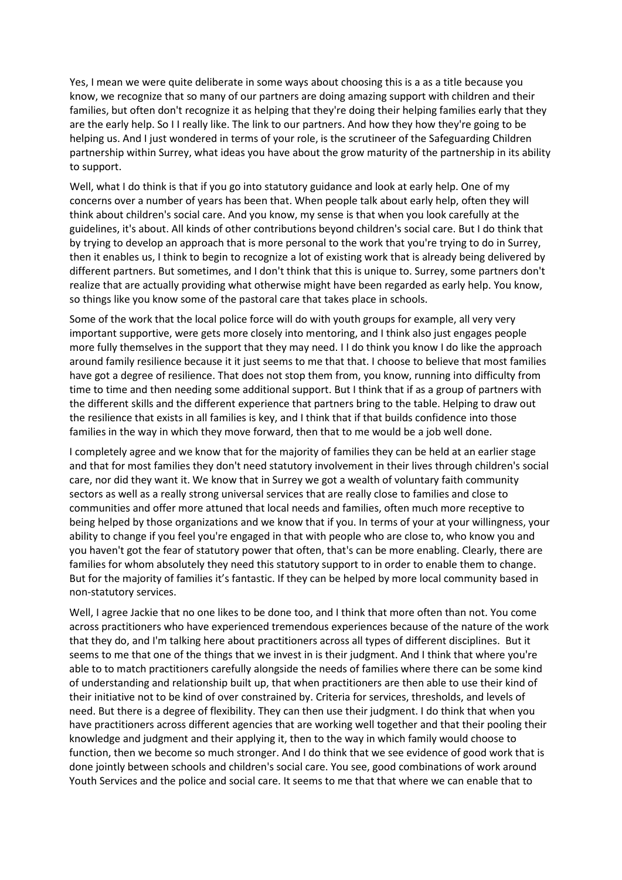Yes, I mean we were quite deliberate in some ways about choosing this is a as a title because you know, we recognize that so many of our partners are doing amazing support with children and their families, but often don't recognize it as helping that they're doing their helping families early that they are the early help. So I I really like. The link to our partners. And how they how they're going to be helping us. And I just wondered in terms of your role, is the scrutineer of the Safeguarding Children partnership within Surrey, what ideas you have about the grow maturity of the partnership in its ability to support.

Well, what I do think is that if you go into statutory guidance and look at early help. One of my concerns over a number of years has been that. When people talk about early help, often they will think about children's social care. And you know, my sense is that when you look carefully at the guidelines, it's about. All kinds of other contributions beyond children's social care. But I do think that by trying to develop an approach that is more personal to the work that you're trying to do in Surrey, then it enables us, I think to begin to recognize a lot of existing work that is already being delivered by different partners. But sometimes, and I don't think that this is unique to. Surrey, some partners don't realize that are actually providing what otherwise might have been regarded as early help. You know, so things like you know some of the pastoral care that takes place in schools.

Some of the work that the local police force will do with youth groups for example, all very very important supportive, were gets more closely into mentoring, and I think also just engages people more fully themselves in the support that they may need. I I do think you know I do like the approach around family resilience because it it just seems to me that that. I choose to believe that most families have got a degree of resilience. That does not stop them from, you know, running into difficulty from time to time and then needing some additional support. But I think that if as a group of partners with the different skills and the different experience that partners bring to the table. Helping to draw out the resilience that exists in all families is key, and I think that if that builds confidence into those families in the way in which they move forward, then that to me would be a job well done.

I completely agree and we know that for the majority of families they can be held at an earlier stage and that for most families they don't need statutory involvement in their lives through children's social care, nor did they want it. We know that in Surrey we got a wealth of voluntary faith community sectors as well as a really strong universal services that are really close to families and close to communities and offer more attuned that local needs and families, often much more receptive to being helped by those organizations and we know that if you. In terms of your at your willingness, your ability to change if you feel you're engaged in that with people who are close to, who know you and you haven't got the fear of statutory power that often, that's can be more enabling. Clearly, there are families for whom absolutely they need this statutory support to in order to enable them to change. But for the majority of families it's fantastic. If they can be helped by more local community based in non-statutory services.

Well, I agree Jackie that no one likes to be done too, and I think that more often than not. You come across practitioners who have experienced tremendous experiences because of the nature of the work that they do, and I'm talking here about practitioners across all types of different disciplines. But it seems to me that one of the things that we invest in is their judgment. And I think that where you're able to to match practitioners carefully alongside the needs of families where there can be some kind of understanding and relationship built up, that when practitioners are then able to use their kind of their initiative not to be kind of over constrained by. Criteria for services, thresholds, and levels of need. But there is a degree of flexibility. They can then use their judgment. I do think that when you have practitioners across different agencies that are working well together and that their pooling their knowledge and judgment and their applying it, then to the way in which family would choose to function, then we become so much stronger. And I do think that we see evidence of good work that is done jointly between schools and children's social care. You see, good combinations of work around Youth Services and the police and social care. It seems to me that that where we can enable that to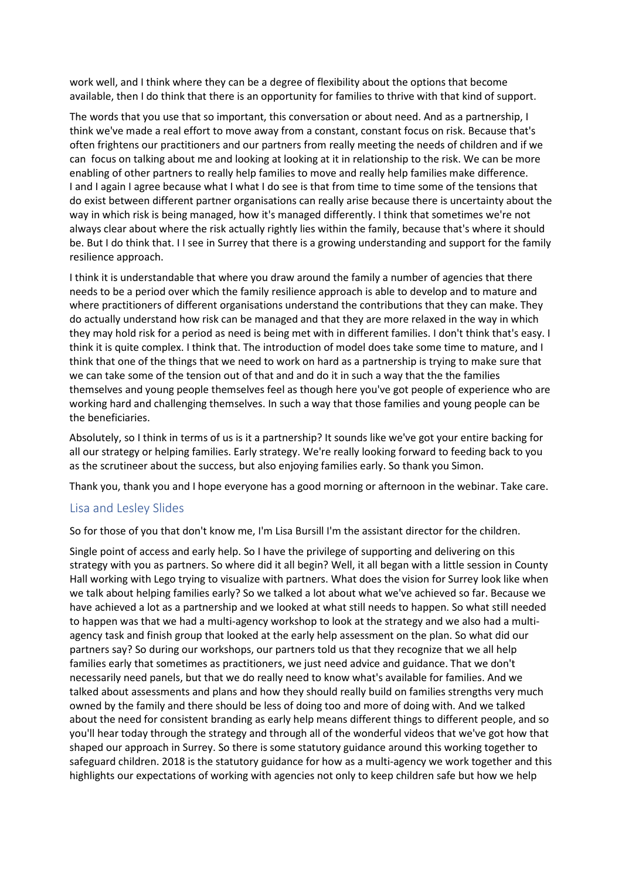work well, and I think where they can be a degree of flexibility about the options that become available, then I do think that there is an opportunity for families to thrive with that kind of support.

The words that you use that so important, this conversation or about need. And as a partnership, I think we've made a real effort to move away from a constant, constant focus on risk. Because that's often frightens our practitioners and our partners from really meeting the needs of children and if we can focus on talking about me and looking at looking at it in relationship to the risk. We can be more enabling of other partners to really help families to move and really help families make difference. I and I again I agree because what I what I do see is that from time to time some of the tensions that do exist between different partner organisations can really arise because there is uncertainty about the way in which risk is being managed, how it's managed differently. I think that sometimes we're not always clear about where the risk actually rightly lies within the family, because that's where it should be. But I do think that. I I see in Surrey that there is a growing understanding and support for the family resilience approach.

I think it is understandable that where you draw around the family a number of agencies that there needs to be a period over which the family resilience approach is able to develop and to mature and where practitioners of different organisations understand the contributions that they can make. They do actually understand how risk can be managed and that they are more relaxed in the way in which they may hold risk for a period as need is being met with in different families. I don't think that's easy. I think it is quite complex. I think that. The introduction of model does take some time to mature, and I think that one of the things that we need to work on hard as a partnership is trying to make sure that we can take some of the tension out of that and and do it in such a way that the the families themselves and young people themselves feel as though here you've got people of experience who are working hard and challenging themselves. In such a way that those families and young people can be the beneficiaries.

Absolutely, so I think in terms of us is it a partnership? It sounds like we've got your entire backing for all our strategy or helping families. Early strategy. We're really looking forward to feeding back to you as the scrutineer about the success, but also enjoying families early. So thank you Simon.

Thank you, thank you and I hope everyone has a good morning or afternoon in the webinar. Take care.

## Lisa and Lesley Slides

So for those of you that don't know me, I'm Lisa Bursill I'm the assistant director for the children.

Single point of access and early help. So I have the privilege of supporting and delivering on this strategy with you as partners. So where did it all begin? Well, it all began with a little session in County Hall working with Lego trying to visualize with partners. What does the vision for Surrey look like when we talk about helping families early? So we talked a lot about what we've achieved so far. Because we have achieved a lot as a partnership and we looked at what still needs to happen. So what still needed to happen was that we had a multi-agency workshop to look at the strategy and we also had a multiagency task and finish group that looked at the early help assessment on the plan. So what did our partners say? So during our workshops, our partners told us that they recognize that we all help families early that sometimes as practitioners, we just need advice and guidance. That we don't necessarily need panels, but that we do really need to know what's available for families. And we talked about assessments and plans and how they should really build on families strengths very much owned by the family and there should be less of doing too and more of doing with. And we talked about the need for consistent branding as early help means different things to different people, and so you'll hear today through the strategy and through all of the wonderful videos that we've got how that shaped our approach in Surrey. So there is some statutory guidance around this working together to safeguard children. 2018 is the statutory guidance for how as a multi-agency we work together and this highlights our expectations of working with agencies not only to keep children safe but how we help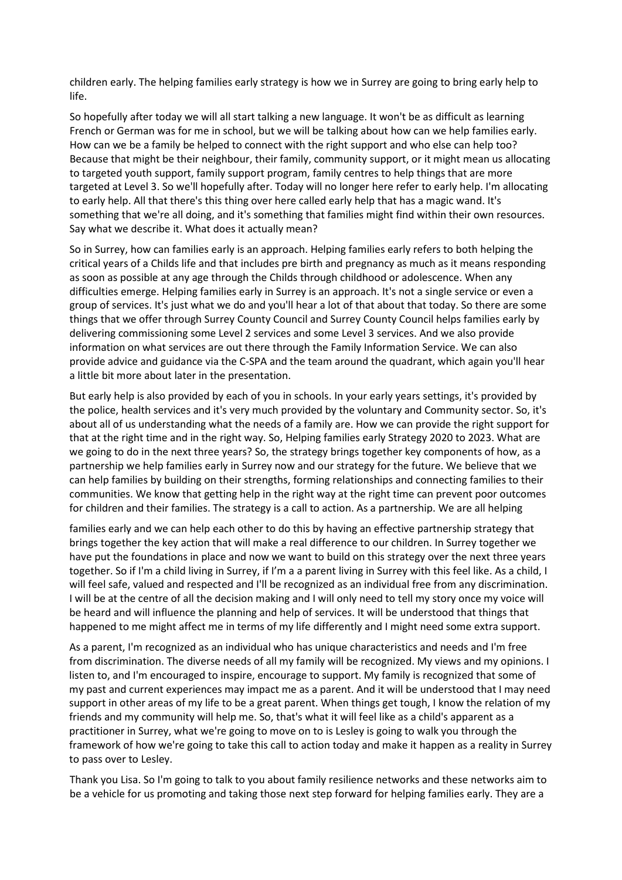children early. The helping families early strategy is how we in Surrey are going to bring early help to life.

So hopefully after today we will all start talking a new language. It won't be as difficult as learning French or German was for me in school, but we will be talking about how can we help families early. How can we be a family be helped to connect with the right support and who else can help too? Because that might be their neighbour, their family, community support, or it might mean us allocating to targeted youth support, family support program, family centres to help things that are more targeted at Level 3. So we'll hopefully after. Today will no longer here refer to early help. I'm allocating to early help. All that there's this thing over here called early help that has a magic wand. It's something that we're all doing, and it's something that families might find within their own resources. Say what we describe it. What does it actually mean?

So in Surrey, how can families early is an approach. Helping families early refers to both helping the critical years of a Childs life and that includes pre birth and pregnancy as much as it means responding as soon as possible at any age through the Childs through childhood or adolescence. When any difficulties emerge. Helping families early in Surrey is an approach. It's not a single service or even a group of services. It's just what we do and you'll hear a lot of that about that today. So there are some things that we offer through Surrey County Council and Surrey County Council helps families early by delivering commissioning some Level 2 services and some Level 3 services. And we also provide information on what services are out there through the Family Information Service. We can also provide advice and guidance via the C-SPA and the team around the quadrant, which again you'll hear a little bit more about later in the presentation.

But early help is also provided by each of you in schools. In your early years settings, it's provided by the police, health services and it's very much provided by the voluntary and Community sector. So, it's about all of us understanding what the needs of a family are. How we can provide the right support for that at the right time and in the right way. So, Helping families early Strategy 2020 to 2023. What are we going to do in the next three years? So, the strategy brings together key components of how, as a partnership we help families early in Surrey now and our strategy for the future. We believe that we can help families by building on their strengths, forming relationships and connecting families to their communities. We know that getting help in the right way at the right time can prevent poor outcomes for children and their families. The strategy is a call to action. As a partnership. We are all helping

families early and we can help each other to do this by having an effective partnership strategy that brings together the key action that will make a real difference to our children. In Surrey together we have put the foundations in place and now we want to build on this strategy over the next three years together. So if I'm a child living in Surrey, if I'm a a parent living in Surrey with this feel like. As a child, I will feel safe, valued and respected and I'll be recognized as an individual free from any discrimination. I will be at the centre of all the decision making and I will only need to tell my story once my voice will be heard and will influence the planning and help of services. It will be understood that things that happened to me might affect me in terms of my life differently and I might need some extra support.

As a parent, I'm recognized as an individual who has unique characteristics and needs and I'm free from discrimination. The diverse needs of all my family will be recognized. My views and my opinions. I listen to, and I'm encouraged to inspire, encourage to support. My family is recognized that some of my past and current experiences may impact me as a parent. And it will be understood that I may need support in other areas of my life to be a great parent. When things get tough, I know the relation of my friends and my community will help me. So, that's what it will feel like as a child's apparent as a practitioner in Surrey, what we're going to move on to is Lesley is going to walk you through the framework of how we're going to take this call to action today and make it happen as a reality in Surrey to pass over to Lesley.

Thank you Lisa. So I'm going to talk to you about family resilience networks and these networks aim to be a vehicle for us promoting and taking those next step forward for helping families early. They are a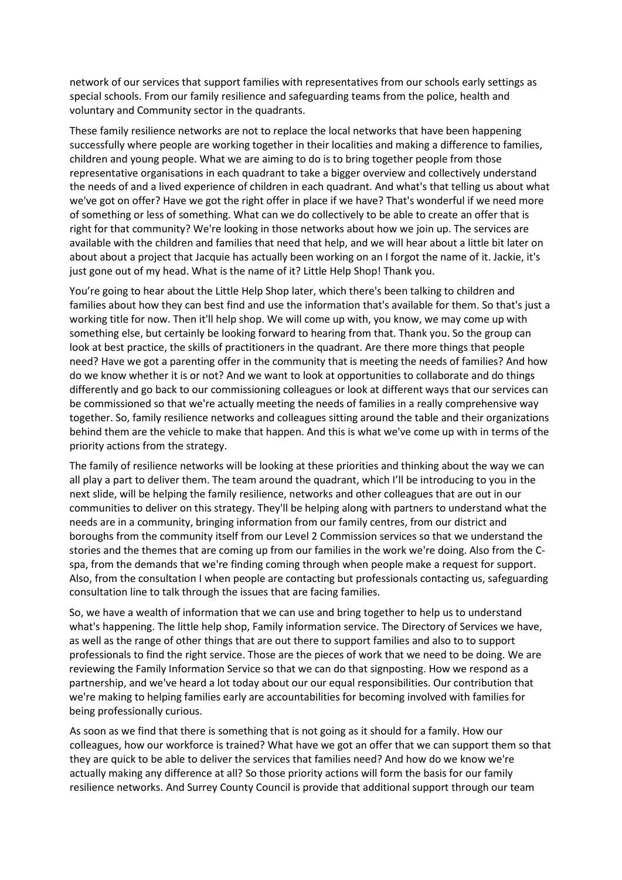network of our services that support families with representatives from our schools early settings as special schools. From our family resilience and safeguarding teams from the police, health and voluntary and Community sector in the quadrants.

These family resilience networks are not to replace the local networks that have been happening successfully where people are working together in their localities and making a difference to families, children and young people. What we are aiming to do is to bring together people from those representative organisations in each quadrant to take a bigger overview and collectively understand the needs of and a lived experience of children in each quadrant. And what's that telling us about what we've got on offer? Have we got the right offer in place if we have? That's wonderful if we need more of something or less of something. What can we do collectively to be able to create an offer that is right for that community? We're looking in those networks about how we join up. The services are available with the children and families that need that help, and we will hear about a little bit later on about about a project that Jacquie has actually been working on an I forgot the name of it. Jackie, it's just gone out of my head. What is the name of it? Little Help Shop! Thank you.

You're going to hear about the Little Help Shop later, which there's been talking to children and families about how they can best find and use the information that's available for them. So that's just a working title for now. Then it'll help shop. We will come up with, you know, we may come up with something else, but certainly be looking forward to hearing from that. Thank you. So the group can look at best practice, the skills of practitioners in the quadrant. Are there more things that people need? Have we got a parenting offer in the community that is meeting the needs of families? And how do we know whether it is or not? And we want to look at opportunities to collaborate and do things differently and go back to our commissioning colleagues or look at different ways that our services can be commissioned so that we're actually meeting the needs of families in a really comprehensive way together. So, family resilience networks and colleagues sitting around the table and their organizations behind them are the vehicle to make that happen. And this is what we've come up with in terms of the priority actions from the strategy.

The family of resilience networks will be looking at these priorities and thinking about the way we can all play a part to deliver them. The team around the quadrant, which I'll be introducing to you in the next slide, will be helping the family resilience, networks and other colleagues that are out in our communities to deliver on this strategy. They'll be helping along with partners to understand what the needs are in a community, bringing information from our family centres, from our district and boroughs from the community itself from our Level 2 Commission services so that we understand the stories and the themes that are coming up from our families in the work we're doing. Also from the Cspa, from the demands that we're finding coming through when people make a request for support. Also, from the consultation I when people are contacting but professionals contacting us, safeguarding consultation line to talk through the issues that are facing families.

So, we have a wealth of information that we can use and bring together to help us to understand what's happening. The little help shop, Family information service. The Directory of Services we have, as well as the range of other things that are out there to support families and also to to support professionals to find the right service. Those are the pieces of work that we need to be doing. We are reviewing the Family Information Service so that we can do that signposting. How we respond as a partnership, and we've heard a lot today about our our equal responsibilities. Our contribution that we're making to helping families early are accountabilities for becoming involved with families for being professionally curious.

As soon as we find that there is something that is not going as it should for a family. How our colleagues, how our workforce is trained? What have we got an offer that we can support them so that they are quick to be able to deliver the services that families need? And how do we know we're actually making any difference at all? So those priority actions will form the basis for our family resilience networks. And Surrey County Council is provide that additional support through our team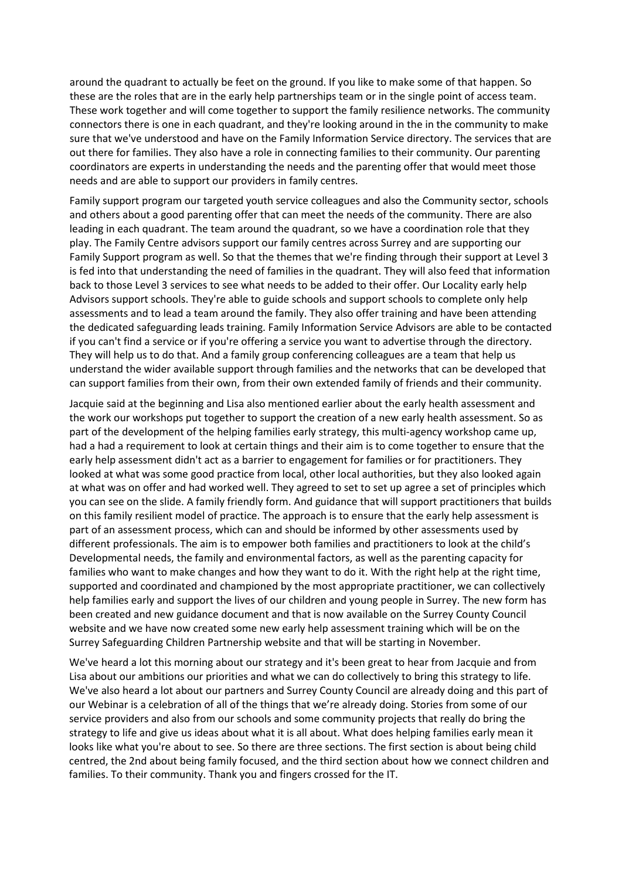around the quadrant to actually be feet on the ground. If you like to make some of that happen. So these are the roles that are in the early help partnerships team or in the single point of access team. These work together and will come together to support the family resilience networks. The community connectors there is one in each quadrant, and they're looking around in the in the community to make sure that we've understood and have on the Family Information Service directory. The services that are out there for families. They also have a role in connecting families to their community. Our parenting coordinators are experts in understanding the needs and the parenting offer that would meet those needs and are able to support our providers in family centres.

Family support program our targeted youth service colleagues and also the Community sector, schools and others about a good parenting offer that can meet the needs of the community. There are also leading in each quadrant. The team around the quadrant, so we have a coordination role that they play. The Family Centre advisors support our family centres across Surrey and are supporting our Family Support program as well. So that the themes that we're finding through their support at Level 3 is fed into that understanding the need of families in the quadrant. They will also feed that information back to those Level 3 services to see what needs to be added to their offer. Our Locality early help Advisors support schools. They're able to guide schools and support schools to complete only help assessments and to lead a team around the family. They also offer training and have been attending the dedicated safeguarding leads training. Family Information Service Advisors are able to be contacted if you can't find a service or if you're offering a service you want to advertise through the directory. They will help us to do that. And a family group conferencing colleagues are a team that help us understand the wider available support through families and the networks that can be developed that can support families from their own, from their own extended family of friends and their community.

Jacquie said at the beginning and Lisa also mentioned earlier about the early health assessment and the work our workshops put together to support the creation of a new early health assessment. So as part of the development of the helping families early strategy, this multi-agency workshop came up, had a had a requirement to look at certain things and their aim is to come together to ensure that the early help assessment didn't act as a barrier to engagement for families or for practitioners. They looked at what was some good practice from local, other local authorities, but they also looked again at what was on offer and had worked well. They agreed to set to set up agree a set of principles which you can see on the slide. A family friendly form. And guidance that will support practitioners that builds on this family resilient model of practice. The approach is to ensure that the early help assessment is part of an assessment process, which can and should be informed by other assessments used by different professionals. The aim is to empower both families and practitioners to look at the child's Developmental needs, the family and environmental factors, as well as the parenting capacity for families who want to make changes and how they want to do it. With the right help at the right time, supported and coordinated and championed by the most appropriate practitioner, we can collectively help families early and support the lives of our children and young people in Surrey. The new form has been created and new guidance document and that is now available on the Surrey County Council website and we have now created some new early help assessment training which will be on the Surrey Safeguarding Children Partnership website and that will be starting in November.

We've heard a lot this morning about our strategy and it's been great to hear from Jacquie and from Lisa about our ambitions our priorities and what we can do collectively to bring this strategy to life. We've also heard a lot about our partners and Surrey County Council are already doing and this part of our Webinar is a celebration of all of the things that we're already doing. Stories from some of our service providers and also from our schools and some community projects that really do bring the strategy to life and give us ideas about what it is all about. What does helping families early mean it looks like what you're about to see. So there are three sections. The first section is about being child centred, the 2nd about being family focused, and the third section about how we connect children and families. To their community. Thank you and fingers crossed for the IT.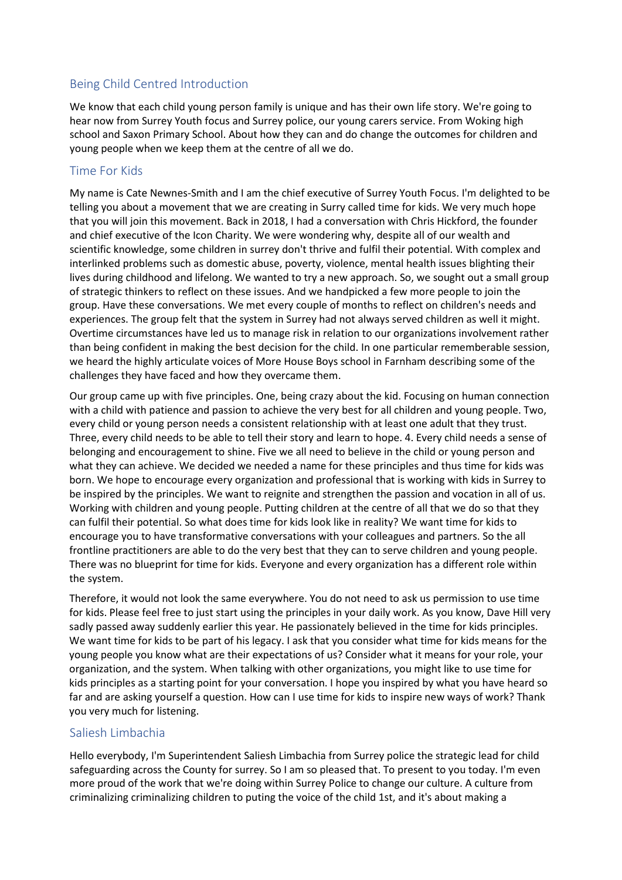# Being Child Centred Introduction

We know that each child young person family is unique and has their own life story. We're going to hear now from Surrey Youth focus and Surrey police, our young carers service. From Woking high school and Saxon Primary School. About how they can and do change the outcomes for children and young people when we keep them at the centre of all we do.

## Time For Kids

My name is Cate Newnes-Smith and I am the chief executive of Surrey Youth Focus. I'm delighted to be telling you about a movement that we are creating in Surry called time for kids. We very much hope that you will join this movement. Back in 2018, I had a conversation with Chris Hickford, the founder and chief executive of the Icon Charity. We were wondering why, despite all of our wealth and scientific knowledge, some children in surrey don't thrive and fulfil their potential. With complex and interlinked problems such as domestic abuse, poverty, violence, mental health issues blighting their lives during childhood and lifelong. We wanted to try a new approach. So, we sought out a small group of strategic thinkers to reflect on these issues. And we handpicked a few more people to join the group. Have these conversations. We met every couple of months to reflect on children's needs and experiences. The group felt that the system in Surrey had not always served children as well it might. Overtime circumstances have led us to manage risk in relation to our organizations involvement rather than being confident in making the best decision for the child. In one particular rememberable session, we heard the highly articulate voices of More House Boys school in Farnham describing some of the challenges they have faced and how they overcame them.

Our group came up with five principles. One, being crazy about the kid. Focusing on human connection with a child with patience and passion to achieve the very best for all children and young people. Two, every child or young person needs a consistent relationship with at least one adult that they trust. Three, every child needs to be able to tell their story and learn to hope. 4. Every child needs a sense of belonging and encouragement to shine. Five we all need to believe in the child or young person and what they can achieve. We decided we needed a name for these principles and thus time for kids was born. We hope to encourage every organization and professional that is working with kids in Surrey to be inspired by the principles. We want to reignite and strengthen the passion and vocation in all of us. Working with children and young people. Putting children at the centre of all that we do so that they can fulfil their potential. So what does time for kids look like in reality? We want time for kids to encourage you to have transformative conversations with your colleagues and partners. So the all frontline practitioners are able to do the very best that they can to serve children and young people. There was no blueprint for time for kids. Everyone and every organization has a different role within the system.

Therefore, it would not look the same everywhere. You do not need to ask us permission to use time for kids. Please feel free to just start using the principles in your daily work. As you know, Dave Hill very sadly passed away suddenly earlier this year. He passionately believed in the time for kids principles. We want time for kids to be part of his legacy. I ask that you consider what time for kids means for the young people you know what are their expectations of us? Consider what it means for your role, your organization, and the system. When talking with other organizations, you might like to use time for kids principles as a starting point for your conversation. I hope you inspired by what you have heard so far and are asking yourself a question. How can I use time for kids to inspire new ways of work? Thank you very much for listening.

## Saliesh Limbachia

Hello everybody, I'm Superintendent Saliesh Limbachia from Surrey police the strategic lead for child safeguarding across the County for surrey. So I am so pleased that. To present to you today. I'm even more proud of the work that we're doing within Surrey Police to change our culture. A culture from criminalizing criminalizing children to puting the voice of the child 1st, and it's about making a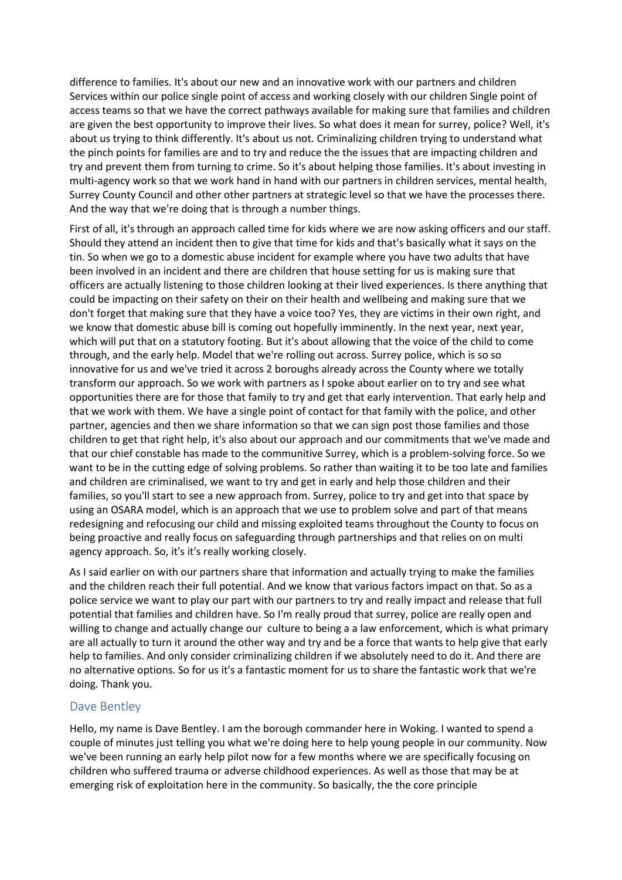difference to families. It's about our new and an innovative work with our partners and children Services within our police single point of access and working closely with our children Single point of access teams so that we have the correct pathways available for making sure that families and children are given the best opportunity to improve their lives. So what does it mean for surrey, police? Well, it's about us trying to think differently. It's about us not. Criminalizing children trying to understand what the pinch points for families are and to try and reduce the the issues that are impacting children and try and prevent them from turning to crime. So it's about helping those families. It's about investing in multi-agency work so that we work hand in hand with our partners in children services, mental health, Surrey County Council and other other partners at strategic level so that we have the processes there. And the way that we're doing that is through a number things.

First of all, it's through an approach called time for kids where we are now asking officers and our staff. Should they attend an incident then to give that time for kids and that's basically what it says on the tin. So when we go to a domestic abuse incident for example where you have two adults that have been involved in an incident and there are children that house setting for us is making sure that officers are actually listening to those children looking at their lived experiences. Is there anything that could be impacting on their safety on their on their health and wellbeing and making sure that we don't forget that making sure that they have a voice too? Yes, they are victims in their own right, and we know that domestic abuse bill is coming out hopefully imminently. In the next year, next year, which will put that on a statutory footing. But it's about allowing that the voice of the child to come through, and the early help. Model that we're rolling out across. Surrey police, which is so so innovative for us and we've tried it across 2 boroughs already across the County where we totally transform our approach. So we work with partners as I spoke about earlier on to try and see what opportunities there are for those that family to try and get that early intervention. That early help and that we work with them. We have a single point of contact for that family with the police, and other partner, agencies and then we share information so that we can sign post those families and those children to get that right help, it's also about our approach and our commitments that we've made and that our chief constable has made to the communitive Surrey, which is a problem-solving force. So we want to be in the cutting edge of solving problems. So rather than waiting it to be too late and families and children are criminalised, we want to try and get in early and help those children and their families, so you'll start to see a new approach from. Surrey, police to try and get into that space by using an OSARA model, which is an approach that we use to problem solve and part of that means redesigning and refocusing our child and missing exploited teams throughout the County to focus on being proactive and really focus on safeguarding through partnerships and that relies on on multi agency approach. So, it's it's really working closely.

As I said earlier on with our partners share that information and actually trying to make the families and the children reach their full potential. And we know that various factors impact on that. So as a police service we want to play our part with our partners to try and really impact and release that full potential that families and children have. So I'm really proud that surrey, police are really open and willing to change and actually change our culture to being a a law enforcement, which is what primary are all actually to turn it around the other way and try and be a force that wants to help give that early help to families. And only consider criminalizing children if we absolutely need to do it. And there are no alternative options. So for us it's a fantastic moment for us to share the fantastic work that we're doing. Thank you.

## Dave Bentley

Hello, my name is Dave Bentley. I am the borough commander here in Woking. I wanted to spend a couple of minutes just telling you what we're doing here to help young people in our community. Now we've been running an early help pilot now for a few months where we are specifically focusing on children who suffered trauma or adverse childhood experiences. As well as those that may be at emerging risk of exploitation here in the community. So basically, the the core principle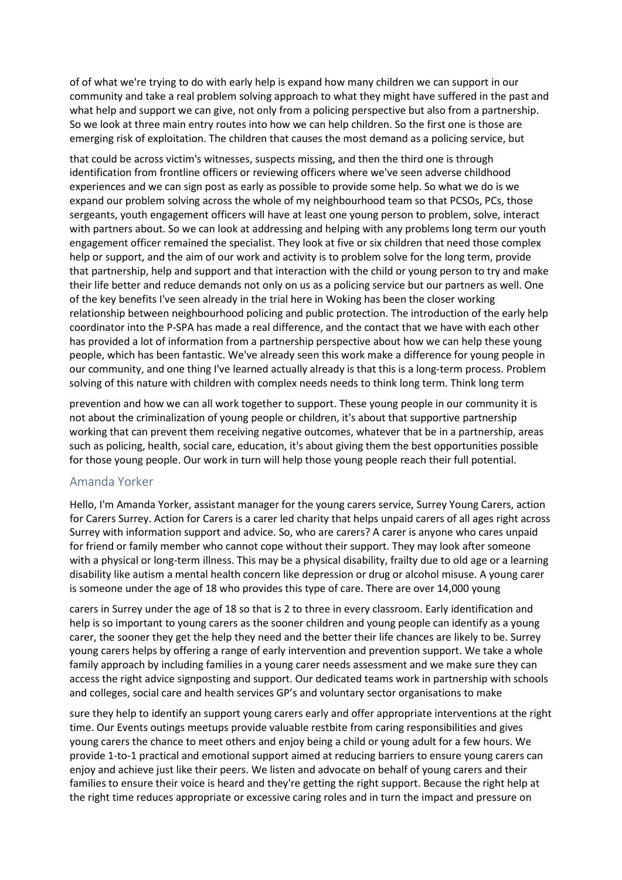of of what we're trying to do with early help is expand how many children we can support in our community and take a real problem solving approach to what they might have suffered in the past and what help and support we can give, not only from a policing perspective but also from a partnership. So we look at three main entry routes into how we can help children. So the first one is those are emerging risk of exploitation. The children that causes the most demand as a policing service, but

that could be across victim's witnesses, suspects missing, and then the third one is through identification from frontline officers or reviewing officers where we've seen adverse childhood experiences and we can sign post as early as possible to provide some help. So what we do is we expand our problem solving across the whole of my neighbourhood team so that PCSOs, PCs, those sergeants, youth engagement officers will have at least one young person to problem, solve, interact with partners about. So we can look at addressing and helping with any problems long term our youth engagement officer remained the specialist. They look at five or six children that need those complex help or support, and the aim of our work and activity is to problem solve for the long term, provide that partnership, help and support and that interaction with the child or young person to try and make their life better and reduce demands not only on us as a policing service but our partners as well. One of the key benefits I've seen already in the trial here in Woking has been the closer working relationship between neighbourhood policing and public protection. The introduction of the early help coordinator into the P-SPA has made a real difference, and the contact that we have with each other has provided a lot of information from a partnership perspective about how we can help these young people, which has been fantastic. We've already seen this work make a difference for young people in our community, and one thing I've learned actually already is that this is a long-term process. Problem solving of this nature with children with complex needs needs to think long term. Think long term

prevention and how we can all work together to support. These young people in our community it is not about the criminalization of young people or children, it's about that supportive partnership working that can prevent them receiving negative outcomes, whatever that be in a partnership, areas such as policing, health, social care, education, it's about giving them the best opportunities possible for those young people. Our work in turn will help those young people reach their full potential.

## Amanda Yorker

Hello, I'm Amanda Yorker, assistant manager for the young carers service, Surrey Young Carers, action for Carers Surrey. Action for Carers is a carer led charity that helps unpaid carers of all ages right across Surrey with information support and advice. So, who are carers? A carer is anyone who cares unpaid for friend or family member who cannot cope without their support. They may look after someone with a physical or long-term illness. This may be a physical disability, frailty due to old age or a learning disability like autism a mental health concern like depression or drug or alcohol misuse. A young carer is someone under the age of 18 who provides this type of care. There are over 14,000 young

carers in Surrey under the age of 18 so that is 2 to three in every classroom. Early identification and help is so important to young carers as the sooner children and young people can identify as a young carer, the sooner they get the help they need and the better their life chances are likely to be. Surrey young carers helps by offering a range of early intervention and prevention support. We take a whole family approach by including families in a young carer needs assessment and we make sure they can access the right advice signposting and support. Our dedicated teams work in partnership with schools and colleges, social care and health services GP's and voluntary sector organisations to make

sure they help to identify an support young carers early and offer appropriate interventions at the right time. Our Events outings meetups provide valuable restbite from caring responsibilities and gives young carers the chance to meet others and enjoy being a child or young adult for a few hours. We provide 1-to-1 practical and emotional support aimed at reducing barriers to ensure young carers can enjoy and achieve just like their peers. We listen and advocate on behalf of young carers and their families to ensure their voice is heard and they're getting the right support. Because the right help at the right time reduces appropriate or excessive caring roles and in turn the impact and pressure on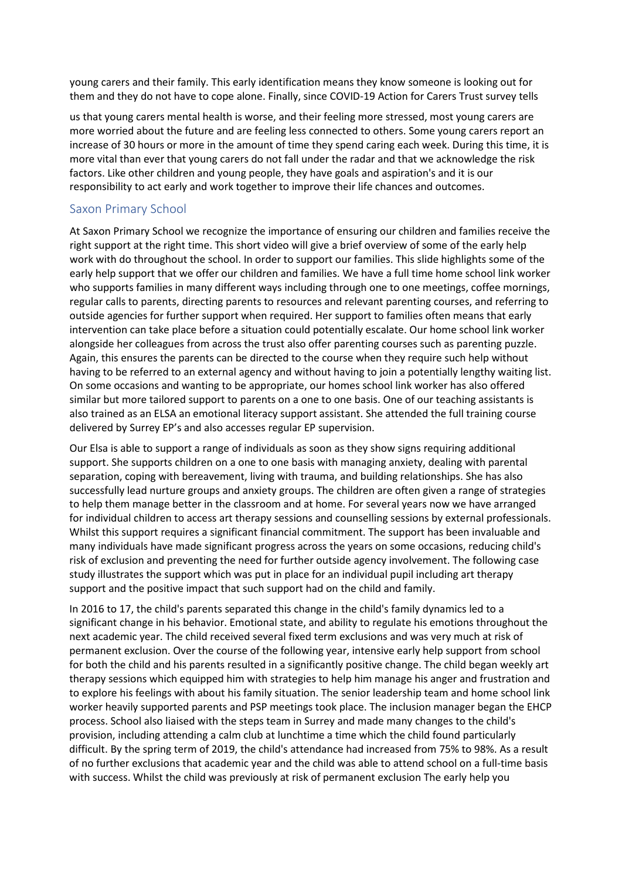young carers and their family. This early identification means they know someone is looking out for them and they do not have to cope alone. Finally, since COVID-19 Action for Carers Trust survey tells

us that young carers mental health is worse, and their feeling more stressed, most young carers are more worried about the future and are feeling less connected to others. Some young carers report an increase of 30 hours or more in the amount of time they spend caring each week. During this time, it is more vital than ever that young carers do not fall under the radar and that we acknowledge the risk factors. Like other children and young people, they have goals and aspiration's and it is our responsibility to act early and work together to improve their life chances and outcomes.

## Saxon Primary School

At Saxon Primary School we recognize the importance of ensuring our children and families receive the right support at the right time. This short video will give a brief overview of some of the early help work with do throughout the school. In order to support our families. This slide highlights some of the early help support that we offer our children and families. We have a full time home school link worker who supports families in many different ways including through one to one meetings, coffee mornings, regular calls to parents, directing parents to resources and relevant parenting courses, and referring to outside agencies for further support when required. Her support to families often means that early intervention can take place before a situation could potentially escalate. Our home school link worker alongside her colleagues from across the trust also offer parenting courses such as parenting puzzle. Again, this ensures the parents can be directed to the course when they require such help without having to be referred to an external agency and without having to join a potentially lengthy waiting list. On some occasions and wanting to be appropriate, our homes school link worker has also offered similar but more tailored support to parents on a one to one basis. One of our teaching assistants is also trained as an ELSA an emotional literacy support assistant. She attended the full training course delivered by Surrey EP's and also accesses regular EP supervision.

Our Elsa is able to support a range of individuals as soon as they show signs requiring additional support. She supports children on a one to one basis with managing anxiety, dealing with parental separation, coping with bereavement, living with trauma, and building relationships. She has also successfully lead nurture groups and anxiety groups. The children are often given a range of strategies to help them manage better in the classroom and at home. For several years now we have arranged for individual children to access art therapy sessions and counselling sessions by external professionals. Whilst this support requires a significant financial commitment. The support has been invaluable and many individuals have made significant progress across the years on some occasions, reducing child's risk of exclusion and preventing the need for further outside agency involvement. The following case study illustrates the support which was put in place for an individual pupil including art therapy support and the positive impact that such support had on the child and family.

In 2016 to 17, the child's parents separated this change in the child's family dynamics led to a significant change in his behavior. Emotional state, and ability to regulate his emotions throughout the next academic year. The child received several fixed term exclusions and was very much at risk of permanent exclusion. Over the course of the following year, intensive early help support from school for both the child and his parents resulted in a significantly positive change. The child began weekly art therapy sessions which equipped him with strategies to help him manage his anger and frustration and to explore his feelings with about his family situation. The senior leadership team and home school link worker heavily supported parents and PSP meetings took place. The inclusion manager began the EHCP process. School also liaised with the steps team in Surrey and made many changes to the child's provision, including attending a calm club at lunchtime a time which the child found particularly difficult. By the spring term of 2019, the child's attendance had increased from 75% to 98%. As a result of no further exclusions that academic year and the child was able to attend school on a full-time basis with success. Whilst the child was previously at risk of permanent exclusion The early help you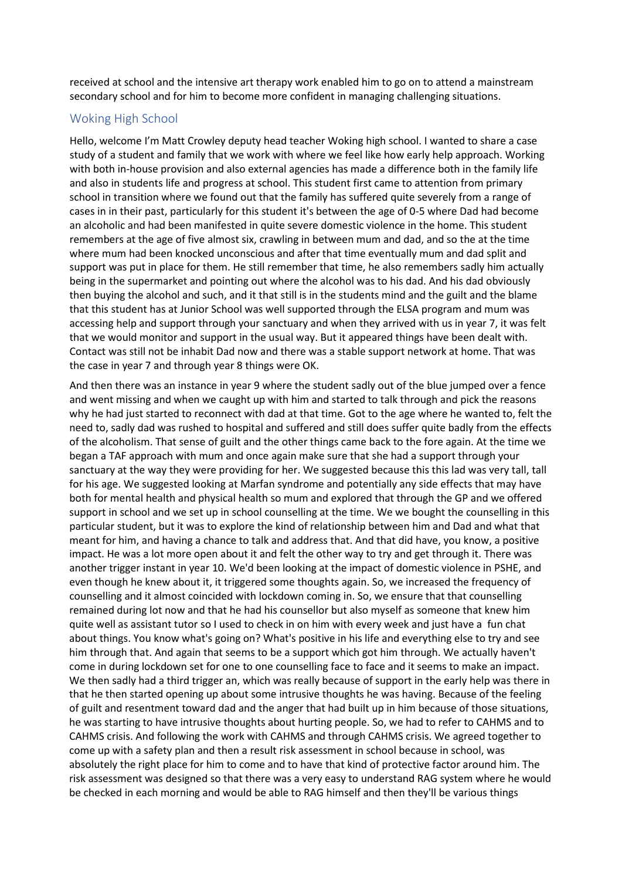received at school and the intensive art therapy work enabled him to go on to attend a mainstream secondary school and for him to become more confident in managing challenging situations.

## Woking High School

Hello, welcome I'm Matt Crowley deputy head teacher Woking high school. I wanted to share a case study of a student and family that we work with where we feel like how early help approach. Working with both in-house provision and also external agencies has made a difference both in the family life and also in students life and progress at school. This student first came to attention from primary school in transition where we found out that the family has suffered quite severely from a range of cases in in their past, particularly for this student it's between the age of 0-5 where Dad had become an alcoholic and had been manifested in quite severe domestic violence in the home. This student remembers at the age of five almost six, crawling in between mum and dad, and so the at the time where mum had been knocked unconscious and after that time eventually mum and dad split and support was put in place for them. He still remember that time, he also remembers sadly him actually being in the supermarket and pointing out where the alcohol was to his dad. And his dad obviously then buying the alcohol and such, and it that still is in the students mind and the guilt and the blame that this student has at Junior School was well supported through the ELSA program and mum was accessing help and support through your sanctuary and when they arrived with us in year 7, it was felt that we would monitor and support in the usual way. But it appeared things have been dealt with. Contact was still not be inhabit Dad now and there was a stable support network at home. That was the case in year 7 and through year 8 things were OK.

And then there was an instance in year 9 where the student sadly out of the blue jumped over a fence and went missing and when we caught up with him and started to talk through and pick the reasons why he had just started to reconnect with dad at that time. Got to the age where he wanted to, felt the need to, sadly dad was rushed to hospital and suffered and still does suffer quite badly from the effects of the alcoholism. That sense of guilt and the other things came back to the fore again. At the time we began a TAF approach with mum and once again make sure that she had a support through your sanctuary at the way they were providing for her. We suggested because this this lad was very tall, tall for his age. We suggested looking at Marfan syndrome and potentially any side effects that may have both for mental health and physical health so mum and explored that through the GP and we offered support in school and we set up in school counselling at the time. We we bought the counselling in this particular student, but it was to explore the kind of relationship between him and Dad and what that meant for him, and having a chance to talk and address that. And that did have, you know, a positive impact. He was a lot more open about it and felt the other way to try and get through it. There was another trigger instant in year 10. We'd been looking at the impact of domestic violence in PSHE, and even though he knew about it, it triggered some thoughts again. So, we increased the frequency of counselling and it almost coincided with lockdown coming in. So, we ensure that that counselling remained during lot now and that he had his counsellor but also myself as someone that knew him quite well as assistant tutor so I used to check in on him with every week and just have a fun chat about things. You know what's going on? What's positive in his life and everything else to try and see him through that. And again that seems to be a support which got him through. We actually haven't come in during lockdown set for one to one counselling face to face and it seems to make an impact. We then sadly had a third trigger an, which was really because of support in the early help was there in that he then started opening up about some intrusive thoughts he was having. Because of the feeling of guilt and resentment toward dad and the anger that had built up in him because of those situations, he was starting to have intrusive thoughts about hurting people. So, we had to refer to CAHMS and to CAHMS crisis. And following the work with CAHMS and through CAHMS crisis. We agreed together to come up with a safety plan and then a result risk assessment in school because in school, was absolutely the right place for him to come and to have that kind of protective factor around him. The risk assessment was designed so that there was a very easy to understand RAG system where he would be checked in each morning and would be able to RAG himself and then they'll be various things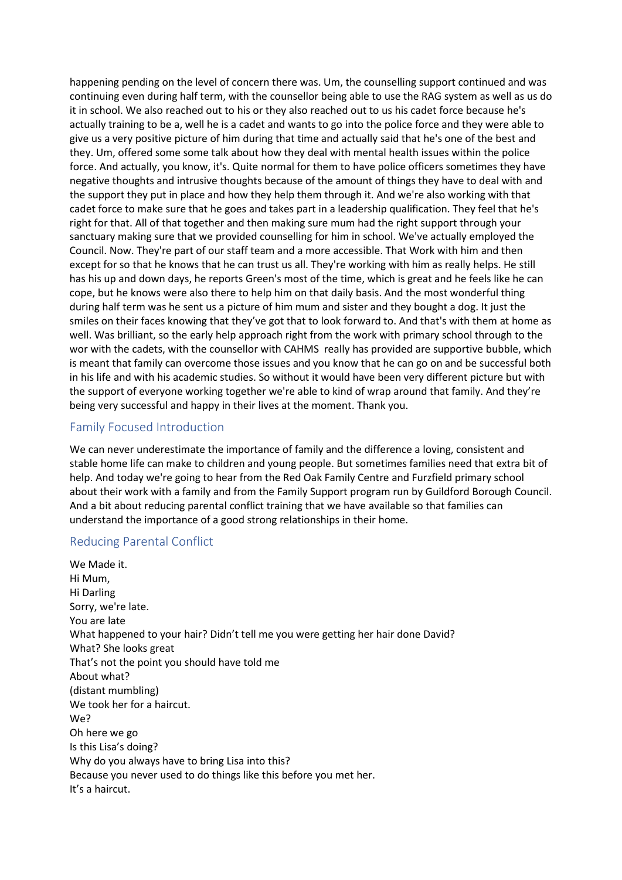happening pending on the level of concern there was. Um, the counselling support continued and was continuing even during half term, with the counsellor being able to use the RAG system as well as us do it in school. We also reached out to his or they also reached out to us his cadet force because he's actually training to be a, well he is a cadet and wants to go into the police force and they were able to give us a very positive picture of him during that time and actually said that he's one of the best and they. Um, offered some some talk about how they deal with mental health issues within the police force. And actually, you know, it's. Quite normal for them to have police officers sometimes they have negative thoughts and intrusive thoughts because of the amount of things they have to deal with and the support they put in place and how they help them through it. And we're also working with that cadet force to make sure that he goes and takes part in a leadership qualification. They feel that he's right for that. All of that together and then making sure mum had the right support through your sanctuary making sure that we provided counselling for him in school. We've actually employed the Council. Now. They're part of our staff team and a more accessible. That Work with him and then except for so that he knows that he can trust us all. They're working with him as really helps. He still has his up and down days, he reports Green's most of the time, which is great and he feels like he can cope, but he knows were also there to help him on that daily basis. And the most wonderful thing during half term was he sent us a picture of him mum and sister and they bought a dog. It just the smiles on their faces knowing that they've got that to look forward to. And that's with them at home as well. Was brilliant, so the early help approach right from the work with primary school through to the wor with the cadets, with the counsellor with CAHMS really has provided are supportive bubble, which is meant that family can overcome those issues and you know that he can go on and be successful both in his life and with his academic studies. So without it would have been very different picture but with the support of everyone working together we're able to kind of wrap around that family. And they're being very successful and happy in their lives at the moment. Thank you.

## Family Focused Introduction

We can never underestimate the importance of family and the difference a loving, consistent and stable home life can make to children and young people. But sometimes families need that extra bit of help. And today we're going to hear from the Red Oak Family Centre and Furzfield primary school about their work with a family and from the Family Support program run by Guildford Borough Council. And a bit about reducing parental conflict training that we have available so that families can understand the importance of a good strong relationships in their home.

## Reducing Parental Conflict

We Made it. Hi Mum, Hi Darling Sorry, we're late. You are late What happened to your hair? Didn't tell me you were getting her hair done David? What? She looks great That's not the point you should have told me About what? (distant mumbling) We took her for a haircut. We? Oh here we go Is this Lisa's doing? Why do you always have to bring Lisa into this? Because you never used to do things like this before you met her. It's a haircut.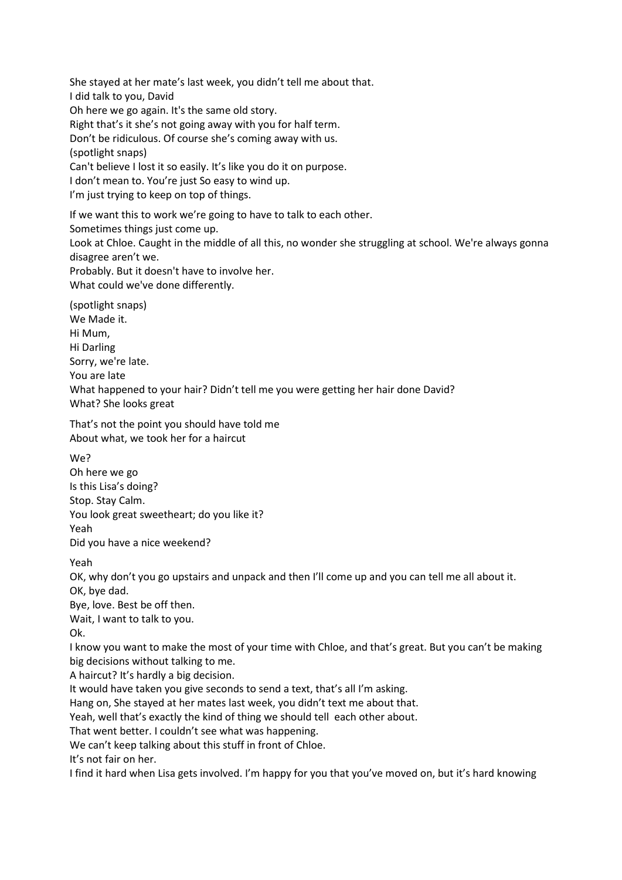She stayed at her mate's last week, you didn't tell me about that. I did talk to you, David Oh here we go again. It's the same old story. Right that's it she's not going away with you for half term. Don't be ridiculous. Of course she's coming away with us. (spotlight snaps) Can't believe I lost it so easily. It's like you do it on purpose. I don't mean to. You're just So easy to wind up. I'm just trying to keep on top of things.

If we want this to work we're going to have to talk to each other. Sometimes things just come up. Look at Chloe. Caught in the middle of all this, no wonder she struggling at school. We're always gonna disagree aren't we.

Probably. But it doesn't have to involve her.

What could we've done differently.

(spotlight snaps) We Made it. Hi Mum, Hi Darling Sorry, we're late. You are late What happened to your hair? Didn't tell me you were getting her hair done David? What? She looks great

That's not the point you should have told me About what, we took her for a haircut

We? Oh here we go Is this Lisa's doing? Stop. Stay Calm. You look great sweetheart; do you like it? Yeah Did you have a nice weekend?

Yeah

OK, why don't you go upstairs and unpack and then I'll come up and you can tell me all about it. OK, bye dad.

Bye, love. Best be off then. Wait, I want to talk to you.

Ok.

I know you want to make the most of your time with Chloe, and that's great. But you can't be making big decisions without talking to me.

A haircut? It's hardly a big decision.

It would have taken you give seconds to send a text, that's all I'm asking.

Hang on, She stayed at her mates last week, you didn't text me about that.

Yeah, well that's exactly the kind of thing we should tell each other about.

That went better. I couldn't see what was happening.

We can't keep talking about this stuff in front of Chloe.

It's not fair on her.

I find it hard when Lisa gets involved. I'm happy for you that you've moved on, but it's hard knowing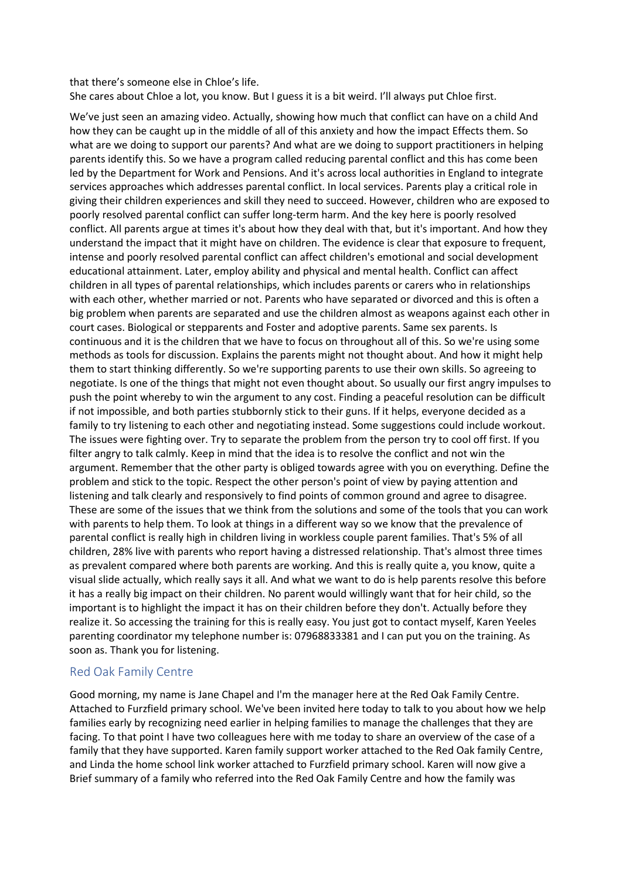#### that there's someone else in Chloe's life. She cares about Chloe a lot, you know. But I guess it is a bit weird. I'll always put Chloe first.

We've just seen an amazing video. Actually, showing how much that conflict can have on a child And how they can be caught up in the middle of all of this anxiety and how the impact Effects them. So what are we doing to support our parents? And what are we doing to support practitioners in helping parents identify this. So we have a program called reducing parental conflict and this has come been led by the Department for Work and Pensions. And it's across local authorities in England to integrate services approaches which addresses parental conflict. In local services. Parents play a critical role in giving their children experiences and skill they need to succeed. However, children who are exposed to poorly resolved parental conflict can suffer long-term harm. And the key here is poorly resolved conflict. All parents argue at times it's about how they deal with that, but it's important. And how they understand the impact that it might have on children. The evidence is clear that exposure to frequent, intense and poorly resolved parental conflict can affect children's emotional and social development educational attainment. Later, employ ability and physical and mental health. Conflict can affect children in all types of parental relationships, which includes parents or carers who in relationships with each other, whether married or not. Parents who have separated or divorced and this is often a big problem when parents are separated and use the children almost as weapons against each other in court cases. Biological or stepparents and Foster and adoptive parents. Same sex parents. Is continuous and it is the children that we have to focus on throughout all of this. So we're using some methods as tools for discussion. Explains the parents might not thought about. And how it might help them to start thinking differently. So we're supporting parents to use their own skills. So agreeing to negotiate. Is one of the things that might not even thought about. So usually our first angry impulses to push the point whereby to win the argument to any cost. Finding a peaceful resolution can be difficult if not impossible, and both parties stubbornly stick to their guns. If it helps, everyone decided as a family to try listening to each other and negotiating instead. Some suggestions could include workout. The issues were fighting over. Try to separate the problem from the person try to cool off first. If you filter angry to talk calmly. Keep in mind that the idea is to resolve the conflict and not win the argument. Remember that the other party is obliged towards agree with you on everything. Define the problem and stick to the topic. Respect the other person's point of view by paying attention and listening and talk clearly and responsively to find points of common ground and agree to disagree. These are some of the issues that we think from the solutions and some of the tools that you can work with parents to help them. To look at things in a different way so we know that the prevalence of parental conflict is really high in children living in workless couple parent families. That's 5% of all children, 28% live with parents who report having a distressed relationship. That's almost three times as prevalent compared where both parents are working. And this is really quite a, you know, quite a visual slide actually, which really says it all. And what we want to do is help parents resolve this before it has a really big impact on their children. No parent would willingly want that for heir child, so the important is to highlight the impact it has on their children before they don't. Actually before they realize it. So accessing the training for this is really easy. You just got to contact myself, Karen Yeeles parenting coordinator my telephone number is: 07968833381 and I can put you on the training. As soon as. Thank you for listening.

## Red Oak Family Centre

Good morning, my name is Jane Chapel and I'm the manager here at the Red Oak Family Centre. Attached to Furzfield primary school. We've been invited here today to talk to you about how we help families early by recognizing need earlier in helping families to manage the challenges that they are facing. To that point I have two colleagues here with me today to share an overview of the case of a family that they have supported. Karen family support worker attached to the Red Oak family Centre, and Linda the home school link worker attached to Furzfield primary school. Karen will now give a Brief summary of a family who referred into the Red Oak Family Centre and how the family was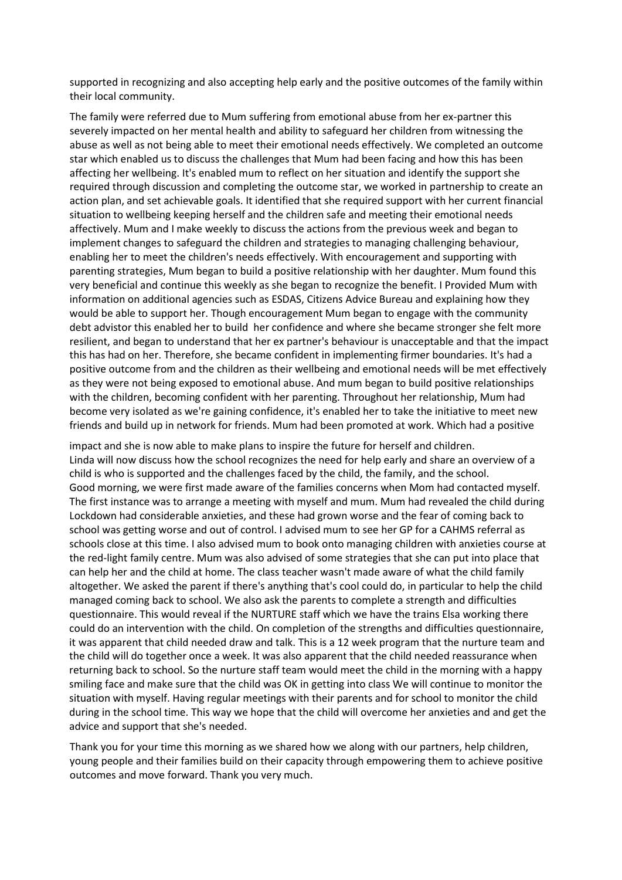supported in recognizing and also accepting help early and the positive outcomes of the family within their local community.

The family were referred due to Mum suffering from emotional abuse from her ex-partner this severely impacted on her mental health and ability to safeguard her children from witnessing the abuse as well as not being able to meet their emotional needs effectively. We completed an outcome star which enabled us to discuss the challenges that Mum had been facing and how this has been affecting her wellbeing. It's enabled mum to reflect on her situation and identify the support she required through discussion and completing the outcome star, we worked in partnership to create an action plan, and set achievable goals. It identified that she required support with her current financial situation to wellbeing keeping herself and the children safe and meeting their emotional needs affectively. Mum and I make weekly to discuss the actions from the previous week and began to implement changes to safeguard the children and strategies to managing challenging behaviour, enabling her to meet the children's needs effectively. With encouragement and supporting with parenting strategies, Mum began to build a positive relationship with her daughter. Mum found this very beneficial and continue this weekly as she began to recognize the benefit. I Provided Mum with information on additional agencies such as ESDAS, Citizens Advice Bureau and explaining how they would be able to support her. Though encouragement Mum began to engage with the community debt advistor this enabled her to build her confidence and where she became stronger she felt more resilient, and began to understand that her ex partner's behaviour is unacceptable and that the impact this has had on her. Therefore, she became confident in implementing firmer boundaries. It's had a positive outcome from and the children as their wellbeing and emotional needs will be met effectively as they were not being exposed to emotional abuse. And mum began to build positive relationships with the children, becoming confident with her parenting. Throughout her relationship, Mum had become very isolated as we're gaining confidence, it's enabled her to take the initiative to meet new friends and build up in network for friends. Mum had been promoted at work. Which had a positive

impact and she is now able to make plans to inspire the future for herself and children. Linda will now discuss how the school recognizes the need for help early and share an overview of a child is who is supported and the challenges faced by the child, the family, and the school. Good morning, we were first made aware of the families concerns when Mom had contacted myself. The first instance was to arrange a meeting with myself and mum. Mum had revealed the child during Lockdown had considerable anxieties, and these had grown worse and the fear of coming back to school was getting worse and out of control. I advised mum to see her GP for a CAHMS referral as schools close at this time. I also advised mum to book onto managing children with anxieties course at the red-light family centre. Mum was also advised of some strategies that she can put into place that can help her and the child at home. The class teacher wasn't made aware of what the child family altogether. We asked the parent if there's anything that's cool could do, in particular to help the child managed coming back to school. We also ask the parents to complete a strength and difficulties questionnaire. This would reveal if the NURTURE staff which we have the trains Elsa working there could do an intervention with the child. On completion of the strengths and difficulties questionnaire, it was apparent that child needed draw and talk. This is a 12 week program that the nurture team and the child will do together once a week. It was also apparent that the child needed reassurance when returning back to school. So the nurture staff team would meet the child in the morning with a happy smiling face and make sure that the child was OK in getting into class We will continue to monitor the situation with myself. Having regular meetings with their parents and for school to monitor the child during in the school time. This way we hope that the child will overcome her anxieties and and get the advice and support that she's needed.

Thank you for your time this morning as we shared how we along with our partners, help children, young people and their families build on their capacity through empowering them to achieve positive outcomes and move forward. Thank you very much.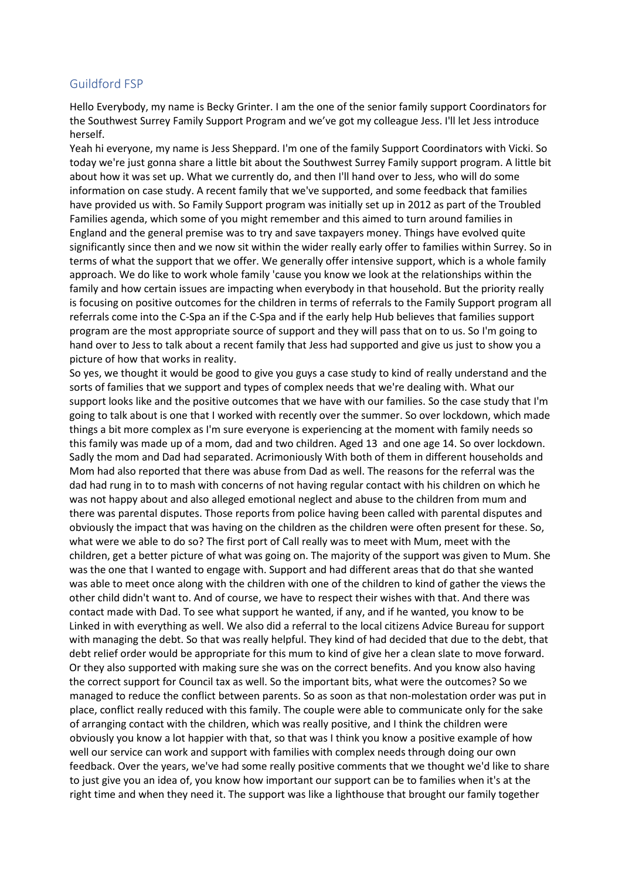## Guildford FSP

Hello Everybody, my name is Becky Grinter. I am the one of the senior family support Coordinators for the Southwest Surrey Family Support Program and we've got my colleague Jess. I'll let Jess introduce herself.

Yeah hi everyone, my name is Jess Sheppard. I'm one of the family Support Coordinators with Vicki. So today we're just gonna share a little bit about the Southwest Surrey Family support program. A little bit about how it was set up. What we currently do, and then I'll hand over to Jess, who will do some information on case study. A recent family that we've supported, and some feedback that families have provided us with. So Family Support program was initially set up in 2012 as part of the Troubled Families agenda, which some of you might remember and this aimed to turn around families in England and the general premise was to try and save taxpayers money. Things have evolved quite significantly since then and we now sit within the wider really early offer to families within Surrey. So in terms of what the support that we offer. We generally offer intensive support, which is a whole family approach. We do like to work whole family 'cause you know we look at the relationships within the family and how certain issues are impacting when everybody in that household. But the priority really is focusing on positive outcomes for the children in terms of referrals to the Family Support program all referrals come into the C-Spa an if the C-Spa and if the early help Hub believes that families support program are the most appropriate source of support and they will pass that on to us. So I'm going to hand over to Jess to talk about a recent family that Jess had supported and give us just to show you a picture of how that works in reality.

So yes, we thought it would be good to give you guys a case study to kind of really understand and the sorts of families that we support and types of complex needs that we're dealing with. What our support looks like and the positive outcomes that we have with our families. So the case study that I'm going to talk about is one that I worked with recently over the summer. So over lockdown, which made things a bit more complex as I'm sure everyone is experiencing at the moment with family needs so this family was made up of a mom, dad and two children. Aged 13 and one age 14. So over lockdown. Sadly the mom and Dad had separated. Acrimoniously With both of them in different households and Mom had also reported that there was abuse from Dad as well. The reasons for the referral was the dad had rung in to to mash with concerns of not having regular contact with his children on which he was not happy about and also alleged emotional neglect and abuse to the children from mum and there was parental disputes. Those reports from police having been called with parental disputes and obviously the impact that was having on the children as the children were often present for these. So, what were we able to do so? The first port of Call really was to meet with Mum, meet with the children, get a better picture of what was going on. The majority of the support was given to Mum. She was the one that I wanted to engage with. Support and had different areas that do that she wanted was able to meet once along with the children with one of the children to kind of gather the views the other child didn't want to. And of course, we have to respect their wishes with that. And there was contact made with Dad. To see what support he wanted, if any, and if he wanted, you know to be Linked in with everything as well. We also did a referral to the local citizens Advice Bureau for support with managing the debt. So that was really helpful. They kind of had decided that due to the debt, that debt relief order would be appropriate for this mum to kind of give her a clean slate to move forward. Or they also supported with making sure she was on the correct benefits. And you know also having the correct support for Council tax as well. So the important bits, what were the outcomes? So we managed to reduce the conflict between parents. So as soon as that non-molestation order was put in place, conflict really reduced with this family. The couple were able to communicate only for the sake of arranging contact with the children, which was really positive, and I think the children were obviously you know a lot happier with that, so that was I think you know a positive example of how well our service can work and support with families with complex needs through doing our own feedback. Over the years, we've had some really positive comments that we thought we'd like to share to just give you an idea of, you know how important our support can be to families when it's at the right time and when they need it. The support was like a lighthouse that brought our family together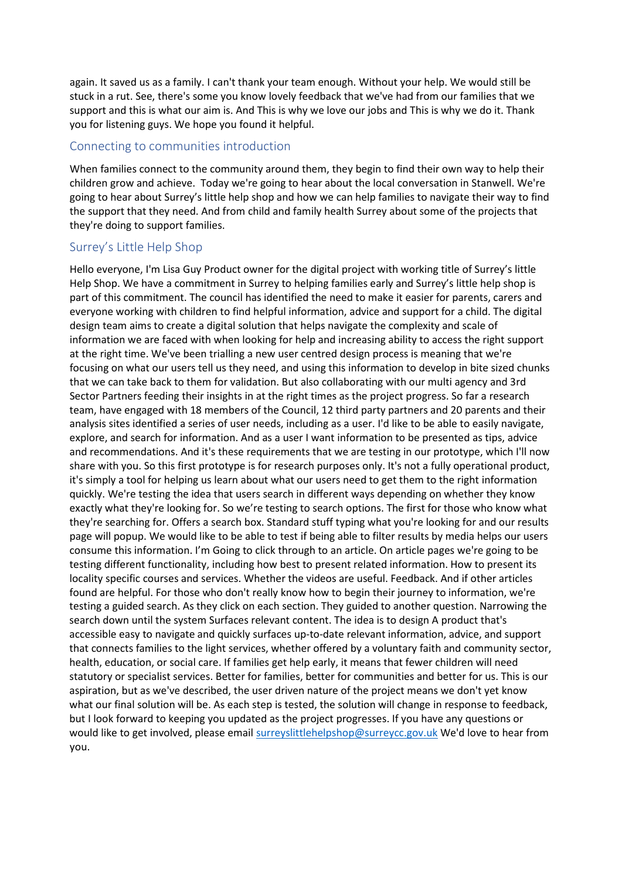again. It saved us as a family. I can't thank your team enough. Without your help. We would still be stuck in a rut. See, there's some you know lovely feedback that we've had from our families that we support and this is what our aim is. And This is why we love our jobs and This is why we do it. Thank you for listening guys. We hope you found it helpful.

#### Connecting to communities introduction

When families connect to the community around them, they begin to find their own way to help their children grow and achieve. Today we're going to hear about the local conversation in Stanwell. We're going to hear about Surrey's little help shop and how we can help families to navigate their way to find the support that they need. And from child and family health Surrey about some of the projects that they're doing to support families.

## Surrey's Little Help Shop

Hello everyone, I'm Lisa Guy Product owner for the digital project with working title of Surrey's little Help Shop. We have a commitment in Surrey to helping families early and Surrey's little help shop is part of this commitment. The council has identified the need to make it easier for parents, carers and everyone working with children to find helpful information, advice and support for a child. The digital design team aims to create a digital solution that helps navigate the complexity and scale of information we are faced with when looking for help and increasing ability to access the right support at the right time. We've been trialling a new user centred design process is meaning that we're focusing on what our users tell us they need, and using this information to develop in bite sized chunks that we can take back to them for validation. But also collaborating with our multi agency and 3rd Sector Partners feeding their insights in at the right times as the project progress. So far a research team, have engaged with 18 members of the Council, 12 third party partners and 20 parents and their analysis sites identified a series of user needs, including as a user. I'd like to be able to easily navigate, explore, and search for information. And as a user I want information to be presented as tips, advice and recommendations. And it's these requirements that we are testing in our prototype, which I'll now share with you. So this first prototype is for research purposes only. It's not a fully operational product, it's simply a tool for helping us learn about what our users need to get them to the right information quickly. We're testing the idea that users search in different ways depending on whether they know exactly what they're looking for. So we're testing to search options. The first for those who know what they're searching for. Offers a search box. Standard stuff typing what you're looking for and our results page will popup. We would like to be able to test if being able to filter results by media helps our users consume this information. I'm Going to click through to an article. On article pages we're going to be testing different functionality, including how best to present related information. How to present its locality specific courses and services. Whether the videos are useful. Feedback. And if other articles found are helpful. For those who don't really know how to begin their journey to information, we're testing a guided search. As they click on each section. They guided to another question. Narrowing the search down until the system Surfaces relevant content. The idea is to design A product that's accessible easy to navigate and quickly surfaces up-to-date relevant information, advice, and support that connects families to the light services, whether offered by a voluntary faith and community sector, health, education, or social care. If families get help early, it means that fewer children will need statutory or specialist services. Better for families, better for communities and better for us. This is our aspiration, but as we've described, the user driven nature of the project means we don't yet know what our final solution will be. As each step is tested, the solution will change in response to feedback, but I look forward to keeping you updated as the project progresses. If you have any questions or would like to get involved, please email [surreyslittlehelpshop@surreycc.gov.uk](mailto:surreyslittlehelpshop@surreycc.gov.uk) We'd love to hear from you.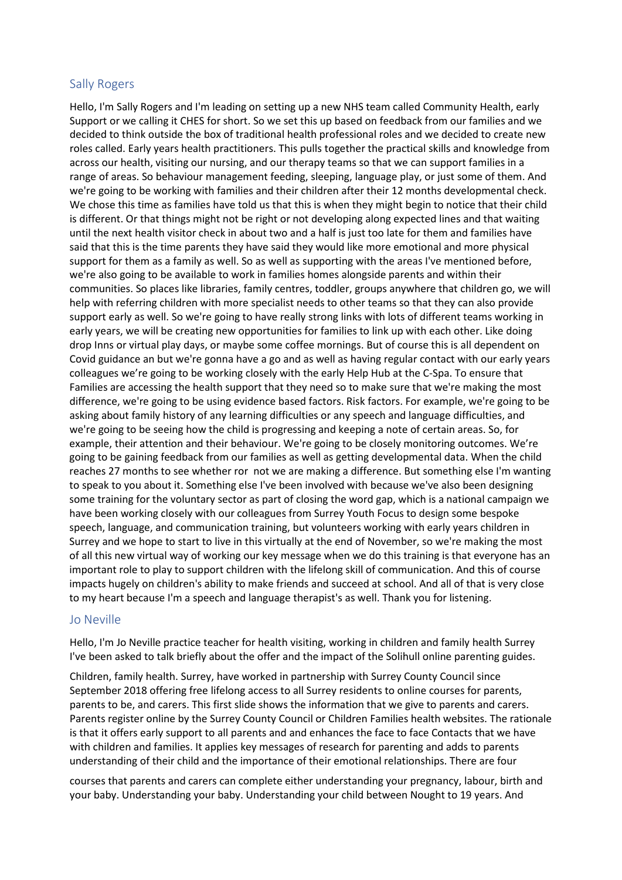#### Sally Rogers

Hello, I'm Sally Rogers and I'm leading on setting up a new NHS team called Community Health, early Support or we calling it CHES for short. So we set this up based on feedback from our families and we decided to think outside the box of traditional health professional roles and we decided to create new roles called. Early years health practitioners. This pulls together the practical skills and knowledge from across our health, visiting our nursing, and our therapy teams so that we can support families in a range of areas. So behaviour management feeding, sleeping, language play, or just some of them. And we're going to be working with families and their children after their 12 months developmental check. We chose this time as families have told us that this is when they might begin to notice that their child is different. Or that things might not be right or not developing along expected lines and that waiting until the next health visitor check in about two and a half is just too late for them and families have said that this is the time parents they have said they would like more emotional and more physical support for them as a family as well. So as well as supporting with the areas I've mentioned before, we're also going to be available to work in families homes alongside parents and within their communities. So places like libraries, family centres, toddler, groups anywhere that children go, we will help with referring children with more specialist needs to other teams so that they can also provide support early as well. So we're going to have really strong links with lots of different teams working in early years, we will be creating new opportunities for families to link up with each other. Like doing drop Inns or virtual play days, or maybe some coffee mornings. But of course this is all dependent on Covid guidance an but we're gonna have a go and as well as having regular contact with our early years colleagues we're going to be working closely with the early Help Hub at the C-Spa. To ensure that Families are accessing the health support that they need so to make sure that we're making the most difference, we're going to be using evidence based factors. Risk factors. For example, we're going to be asking about family history of any learning difficulties or any speech and language difficulties, and we're going to be seeing how the child is progressing and keeping a note of certain areas. So, for example, their attention and their behaviour. We're going to be closely monitoring outcomes. We're going to be gaining feedback from our families as well as getting developmental data. When the child reaches 27 months to see whether ror not we are making a difference. But something else I'm wanting to speak to you about it. Something else I've been involved with because we've also been designing some training for the voluntary sector as part of closing the word gap, which is a national campaign we have been working closely with our colleagues from Surrey Youth Focus to design some bespoke speech, language, and communication training, but volunteers working with early years children in Surrey and we hope to start to live in this virtually at the end of November, so we're making the most of all this new virtual way of working our key message when we do this training is that everyone has an important role to play to support children with the lifelong skill of communication. And this of course impacts hugely on children's ability to make friends and succeed at school. And all of that is very close to my heart because I'm a speech and language therapist's as well. Thank you for listening.

#### Jo Neville

Hello, I'm Jo Neville practice teacher for health visiting, working in children and family health Surrey I've been asked to talk briefly about the offer and the impact of the Solihull online parenting guides.

Children, family health. Surrey, have worked in partnership with Surrey County Council since September 2018 offering free lifelong access to all Surrey residents to online courses for parents, parents to be, and carers. This first slide shows the information that we give to parents and carers. Parents register online by the Surrey County Council or Children Families health websites. The rationale is that it offers early support to all parents and and enhances the face to face Contacts that we have with children and families. It applies key messages of research for parenting and adds to parents understanding of their child and the importance of their emotional relationships. There are four

courses that parents and carers can complete either understanding your pregnancy, labour, birth and your baby. Understanding your baby. Understanding your child between Nought to 19 years. And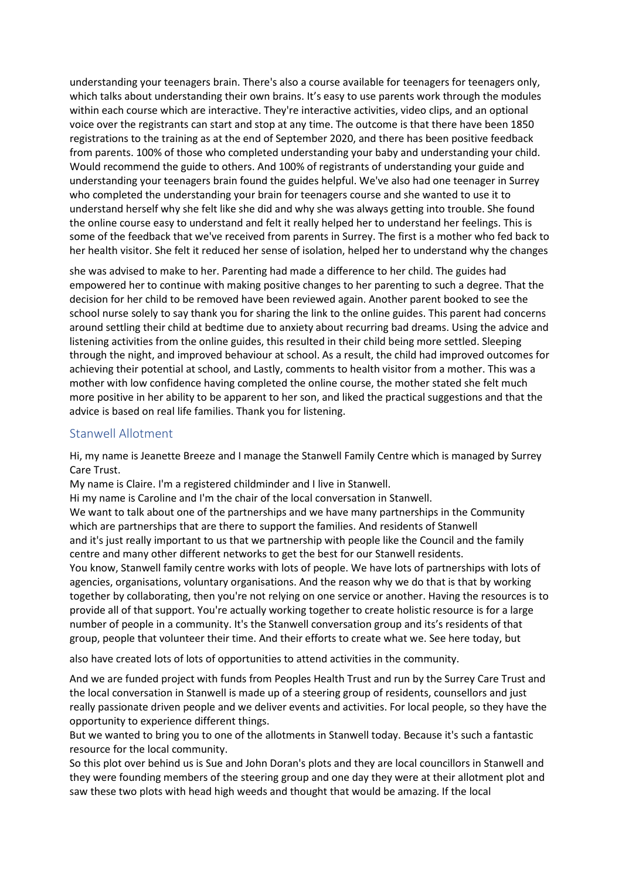understanding your teenagers brain. There's also a course available for teenagers for teenagers only, which talks about understanding their own brains. It's easy to use parents work through the modules within each course which are interactive. They're interactive activities, video clips, and an optional voice over the registrants can start and stop at any time. The outcome is that there have been 1850 registrations to the training as at the end of September 2020, and there has been positive feedback from parents. 100% of those who completed understanding your baby and understanding your child. Would recommend the guide to others. And 100% of registrants of understanding your guide and understanding your teenagers brain found the guides helpful. We've also had one teenager in Surrey who completed the understanding your brain for teenagers course and she wanted to use it to understand herself why she felt like she did and why she was always getting into trouble. She found the online course easy to understand and felt it really helped her to understand her feelings. This is some of the feedback that we've received from parents in Surrey. The first is a mother who fed back to her health visitor. She felt it reduced her sense of isolation, helped her to understand why the changes

she was advised to make to her. Parenting had made a difference to her child. The guides had empowered her to continue with making positive changes to her parenting to such a degree. That the decision for her child to be removed have been reviewed again. Another parent booked to see the school nurse solely to say thank you for sharing the link to the online guides. This parent had concerns around settling their child at bedtime due to anxiety about recurring bad dreams. Using the advice and listening activities from the online guides, this resulted in their child being more settled. Sleeping through the night, and improved behaviour at school. As a result, the child had improved outcomes for achieving their potential at school, and Lastly, comments to health visitor from a mother. This was a mother with low confidence having completed the online course, the mother stated she felt much more positive in her ability to be apparent to her son, and liked the practical suggestions and that the advice is based on real life families. Thank you for listening.

## Stanwell Allotment

Hi, my name is Jeanette Breeze and I manage the Stanwell Family Centre which is managed by Surrey Care Trust.

My name is Claire. I'm a registered childminder and I live in Stanwell.

Hi my name is Caroline and I'm the chair of the local conversation in Stanwell.

We want to talk about one of the partnerships and we have many partnerships in the Community which are partnerships that are there to support the families. And residents of Stanwell and it's just really important to us that we partnership with people like the Council and the family centre and many other different networks to get the best for our Stanwell residents.

You know, Stanwell family centre works with lots of people. We have lots of partnerships with lots of agencies, organisations, voluntary organisations. And the reason why we do that is that by working together by collaborating, then you're not relying on one service or another. Having the resources is to provide all of that support. You're actually working together to create holistic resource is for a large number of people in a community. It's the Stanwell conversation group and its's residents of that group, people that volunteer their time. And their efforts to create what we. See here today, but

also have created lots of lots of opportunities to attend activities in the community.

And we are funded project with funds from Peoples Health Trust and run by the Surrey Care Trust and the local conversation in Stanwell is made up of a steering group of residents, counsellors and just really passionate driven people and we deliver events and activities. For local people, so they have the opportunity to experience different things.

But we wanted to bring you to one of the allotments in Stanwell today. Because it's such a fantastic resource for the local community.

So this plot over behind us is Sue and John Doran's plots and they are local councillors in Stanwell and they were founding members of the steering group and one day they were at their allotment plot and saw these two plots with head high weeds and thought that would be amazing. If the local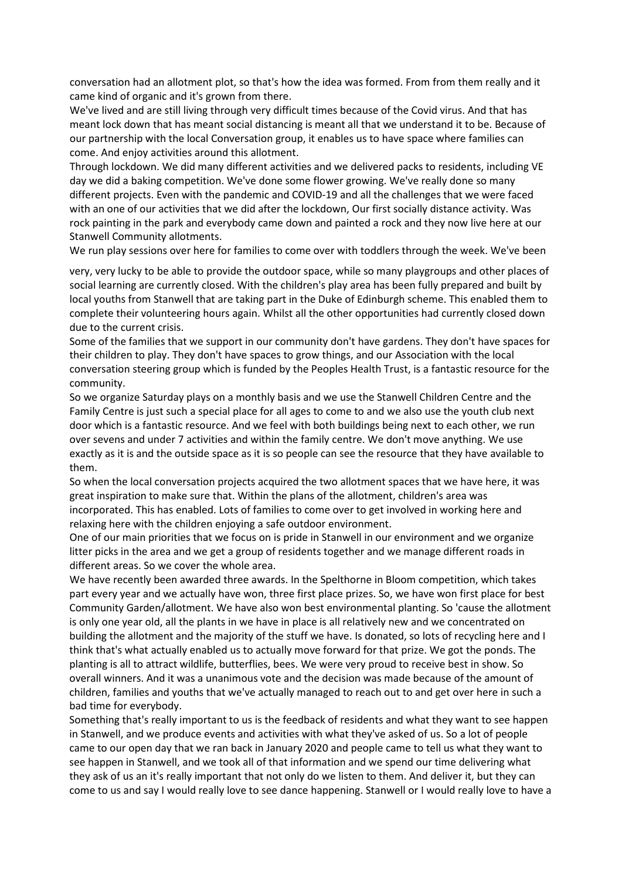conversation had an allotment plot, so that's how the idea was formed. From from them really and it came kind of organic and it's grown from there.

We've lived and are still living through very difficult times because of the Covid virus. And that has meant lock down that has meant social distancing is meant all that we understand it to be. Because of our partnership with the local Conversation group, it enables us to have space where families can come. And enjoy activities around this allotment.

Through lockdown. We did many different activities and we delivered packs to residents, including VE day we did a baking competition. We've done some flower growing. We've really done so many different projects. Even with the pandemic and COVID-19 and all the challenges that we were faced with an one of our activities that we did after the lockdown, Our first socially distance activity. Was rock painting in the park and everybody came down and painted a rock and they now live here at our Stanwell Community allotments.

We run play sessions over here for families to come over with toddlers through the week. We've been

very, very lucky to be able to provide the outdoor space, while so many playgroups and other places of social learning are currently closed. With the children's play area has been fully prepared and built by local youths from Stanwell that are taking part in the Duke of Edinburgh scheme. This enabled them to complete their volunteering hours again. Whilst all the other opportunities had currently closed down due to the current crisis.

Some of the families that we support in our community don't have gardens. They don't have spaces for their children to play. They don't have spaces to grow things, and our Association with the local conversation steering group which is funded by the Peoples Health Trust, is a fantastic resource for the community.

So we organize Saturday plays on a monthly basis and we use the Stanwell Children Centre and the Family Centre is just such a special place for all ages to come to and we also use the youth club next door which is a fantastic resource. And we feel with both buildings being next to each other, we run over sevens and under 7 activities and within the family centre. We don't move anything. We use exactly as it is and the outside space as it is so people can see the resource that they have available to them.

So when the local conversation projects acquired the two allotment spaces that we have here, it was great inspiration to make sure that. Within the plans of the allotment, children's area was incorporated. This has enabled. Lots of families to come over to get involved in working here and relaxing here with the children enjoying a safe outdoor environment.

One of our main priorities that we focus on is pride in Stanwell in our environment and we organize litter picks in the area and we get a group of residents together and we manage different roads in different areas. So we cover the whole area.

We have recently been awarded three awards. In the Spelthorne in Bloom competition, which takes part every year and we actually have won, three first place prizes. So, we have won first place for best Community Garden/allotment. We have also won best environmental planting. So 'cause the allotment is only one year old, all the plants in we have in place is all relatively new and we concentrated on building the allotment and the majority of the stuff we have. Is donated, so lots of recycling here and I think that's what actually enabled us to actually move forward for that prize. We got the ponds. The planting is all to attract wildlife, butterflies, bees. We were very proud to receive best in show. So overall winners. And it was a unanimous vote and the decision was made because of the amount of children, families and youths that we've actually managed to reach out to and get over here in such a bad time for everybody.

Something that's really important to us is the feedback of residents and what they want to see happen in Stanwell, and we produce events and activities with what they've asked of us. So a lot of people came to our open day that we ran back in January 2020 and people came to tell us what they want to see happen in Stanwell, and we took all of that information and we spend our time delivering what they ask of us an it's really important that not only do we listen to them. And deliver it, but they can come to us and say I would really love to see dance happening. Stanwell or I would really love to have a